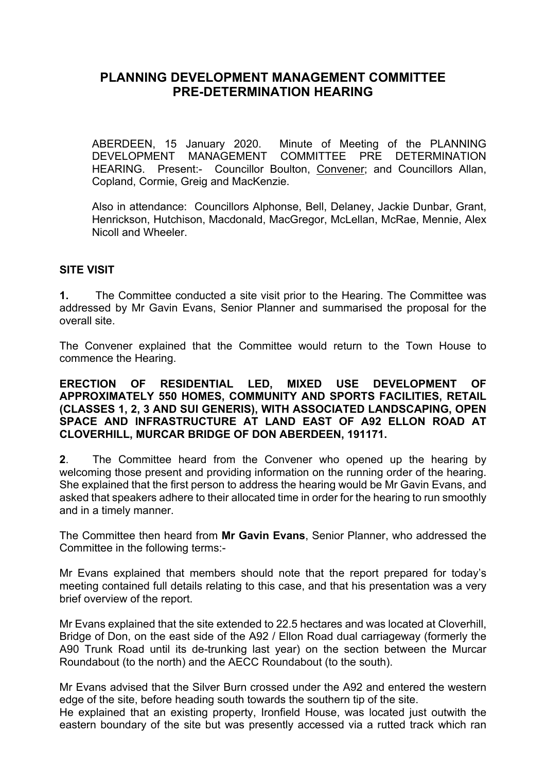# **PLANNING DEVELOPMENT MANAGEMENT COMMITTEE PRE-DETERMINATION HEARING**

ABERDEEN, 15 January 2020. Minute of Meeting of the PLANNING DEVELOPMENT MANAGEMENT COMMITTEE PRE DETERMINATION HEARING. Present:- Councillor Boulton, Convener; and Councillors Allan, Copland, Cormie, Greig and MacKenzie.

Also in attendance: Councillors Alphonse, Bell, Delaney, Jackie Dunbar, Grant, Henrickson, Hutchison, Macdonald, MacGregor, McLellan, McRae, Mennie, Alex Nicoll and Wheeler.

#### **SITE VISIT**

**1.** The Committee conducted a site visit prior to the Hearing. The Committee was addressed by Mr Gavin Evans, Senior Planner and summarised the proposal for the overall site.

The Convener explained that the Committee would return to the Town House to commence the Hearing.

#### **ERECTION OF RESIDENTIAL LED, MIXED USE DEVELOPMENT OF APPROXIMATELY 550 HOMES, COMMUNITY AND SPORTS FACILITIES, RETAIL (CLASSES 1, 2, 3 AND SUI GENERIS), WITH ASSOCIATED LANDSCAPING, OPEN SPACE AND INFRASTRUCTURE AT LAND EAST OF A92 ELLON ROAD AT CLOVERHILL, MURCAR BRIDGE OF DON ABERDEEN, 191171.**

**2**. The Committee heard from the Convener who opened up the hearing by welcoming those present and providing information on the running order of the hearing. She explained that the first person to address the hearing would be Mr Gavin Evans, and asked that speakers adhere to their allocated time in order for the hearing to run smoothly and in a timely manner.

The Committee then heard from **Mr Gavin Evans**, Senior Planner, who addressed the Committee in the following terms:-

Mr Evans explained that members should note that the report prepared for today's meeting contained full details relating to this case, and that his presentation was a very brief overview of the report.

Mr Evans explained that the site extended to 22.5 hectares and was located at Cloverhill, Bridge of Don, on the east side of the A92 / Ellon Road dual carriageway (formerly the A90 Trunk Road until its de-trunking last year) on the section between the Murcar Roundabout (to the north) and the AECC Roundabout (to the south).

Mr Evans advised that the Silver Burn crossed under the A92 and entered the western edge of the site, before heading south towards the southern tip of the site.

He explained that an existing property, Ironfield House, was located just outwith the eastern boundary of the site but was presently accessed via a rutted track which ran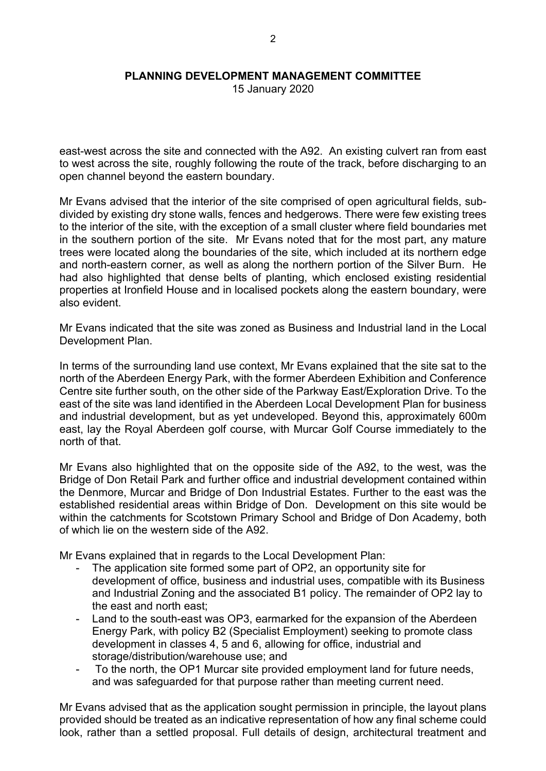15 January 2020

east-west across the site and connected with the A92. An existing culvert ran from east to west across the site, roughly following the route of the track, before discharging to an open channel beyond the eastern boundary.

Mr Evans advised that the interior of the site comprised of open agricultural fields, subdivided by existing dry stone walls, fences and hedgerows. There were few existing trees to the interior of the site, with the exception of a small cluster where field boundaries met in the southern portion of the site. Mr Evans noted that for the most part, any mature trees were located along the boundaries of the site, which included at its northern edge and north-eastern corner, as well as along the northern portion of the Silver Burn. He had also highlighted that dense belts of planting, which enclosed existing residential properties at Ironfield House and in localised pockets along the eastern boundary, were also evident.

Mr Evans indicated that the site was zoned as Business and Industrial land in the Local Development Plan.

In terms of the surrounding land use context, Mr Evans explained that the site sat to the north of the Aberdeen Energy Park, with the former Aberdeen Exhibition and Conference Centre site further south, on the other side of the Parkway East/Exploration Drive. To the east of the site was land identified in the Aberdeen Local Development Plan for business and industrial development, but as yet undeveloped. Beyond this, approximately 600m east, lay the Royal Aberdeen golf course, with Murcar Golf Course immediately to the north of that.

Mr Evans also highlighted that on the opposite side of the A92, to the west, was the Bridge of Don Retail Park and further office and industrial development contained within the Denmore, Murcar and Bridge of Don Industrial Estates. Further to the east was the established residential areas within Bridge of Don. Development on this site would be within the catchments for Scotstown Primary School and Bridge of Don Academy, both of which lie on the western side of the A92.

Mr Evans explained that in regards to the Local Development Plan:

- The application site formed some part of OP2, an opportunity site for development of office, business and industrial uses, compatible with its Business and Industrial Zoning and the associated B1 policy. The remainder of OP2 lay to the east and north east;
- Land to the south-east was OP3, earmarked for the expansion of the Aberdeen Energy Park, with policy B2 (Specialist Employment) seeking to promote class development in classes 4, 5 and 6, allowing for office, industrial and storage/distribution/warehouse use; and
- To the north, the OP1 Murcar site provided employment land for future needs, and was safeguarded for that purpose rather than meeting current need.

Mr Evans advised that as the application sought permission in principle, the layout plans provided should be treated as an indicative representation of how any final scheme could look, rather than a settled proposal. Full details of design, architectural treatment and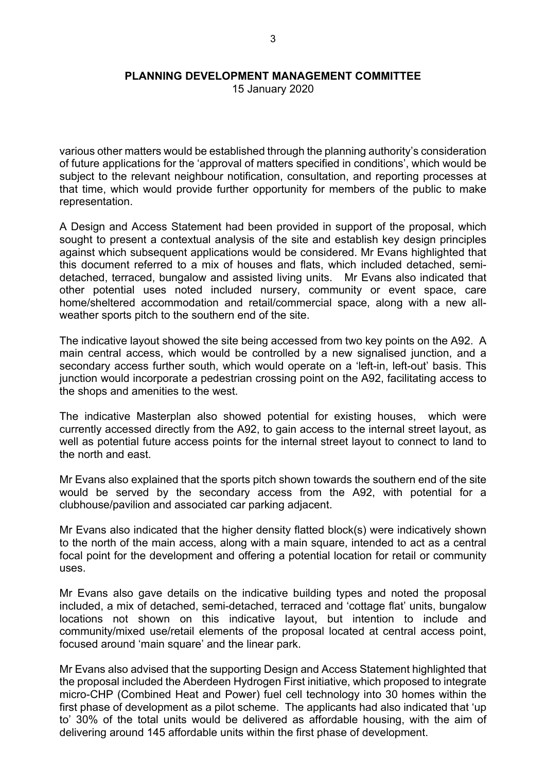15 January 2020

various other matters would be established through the planning authority's consideration of future applications for the 'approval of matters specified in conditions', which would be subject to the relevant neighbour notification, consultation, and reporting processes at that time, which would provide further opportunity for members of the public to make representation.

A Design and Access Statement had been provided in support of the proposal, which sought to present a contextual analysis of the site and establish key design principles against which subsequent applications would be considered. Mr Evans highlighted that this document referred to a mix of houses and flats, which included detached, semidetached, terraced, bungalow and assisted living units. Mr Evans also indicated that other potential uses noted included nursery, community or event space, care home/sheltered accommodation and retail/commercial space, along with a new allweather sports pitch to the southern end of the site.

The indicative layout showed the site being accessed from two key points on the A92. A main central access, which would be controlled by a new signalised junction, and a secondary access further south, which would operate on a 'left-in, left-out' basis. This junction would incorporate a pedestrian crossing point on the A92, facilitating access to the shops and amenities to the west.

The indicative Masterplan also showed potential for existing houses, which were currently accessed directly from the A92, to gain access to the internal street layout, as well as potential future access points for the internal street layout to connect to land to the north and east.

Mr Evans also explained that the sports pitch shown towards the southern end of the site would be served by the secondary access from the A92, with potential for a clubhouse/pavilion and associated car parking adjacent.

Mr Evans also indicated that the higher density flatted block(s) were indicatively shown to the north of the main access, along with a main square, intended to act as a central focal point for the development and offering a potential location for retail or community uses.

Mr Evans also gave details on the indicative building types and noted the proposal included, a mix of detached, semi-detached, terraced and 'cottage flat' units, bungalow locations not shown on this indicative layout, but intention to include and community/mixed use/retail elements of the proposal located at central access point, focused around 'main square' and the linear park.

Mr Evans also advised that the supporting Design and Access Statement highlighted that the proposal included the Aberdeen Hydrogen First initiative, which proposed to integrate micro-CHP (Combined Heat and Power) fuel cell technology into 30 homes within the first phase of development as a pilot scheme. The applicants had also indicated that 'up to' 30% of the total units would be delivered as affordable housing, with the aim of delivering around 145 affordable units within the first phase of development.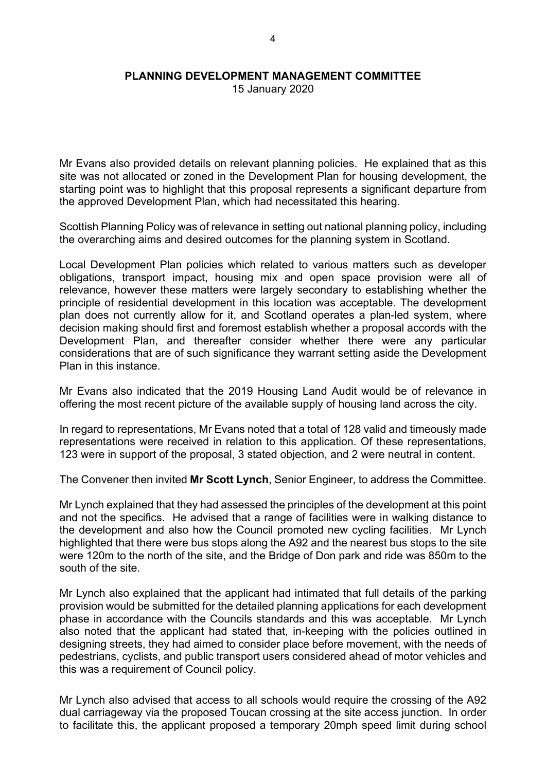15 January 2020

Mr Evans also provided details on relevant planning policies. He explained that as this site was not allocated or zoned in the Development Plan for housing development, the starting point was to highlight that this proposal represents a significant departure from the approved Development Plan, which had necessitated this hearing.

Scottish Planning Policy was of relevance in setting out national planning policy, including the overarching aims and desired outcomes for the planning system in Scotland.

Local Development Plan policies which related to various matters such as developer obligations, transport impact, housing mix and open space provision were all of relevance, however these matters were largely secondary to establishing whether the principle of residential development in this location was acceptable. The development plan does not currently allow for it, and Scotland operates a plan-led system, where decision making should first and foremost establish whether a proposal accords with the Development Plan, and thereafter consider whether there were any particular considerations that are of such significance they warrant setting aside the Development Plan in this instance.

Mr Evans also indicated that the 2019 Housing Land Audit would be of relevance in offering the most recent picture of the available supply of housing land across the city.

In regard to representations, Mr Evans noted that a total of 128 valid and timeously made representations were received in relation to this application. Of these representations, 123 were in support of the proposal, 3 stated objection, and 2 were neutral in content.

The Convener then invited **Mr Scott Lynch**, Senior Engineer, to address the Committee.

Mr Lynch explained that they had assessed the principles of the development at this point and not the specifics. He advised that a range of facilities were in walking distance to the development and also how the Council promoted new cycling facilities. Mr Lynch highlighted that there were bus stops along the A92 and the nearest bus stops to the site were 120m to the north of the site, and the Bridge of Don park and ride was 850m to the south of the site.

Mr Lynch also explained that the applicant had intimated that full details of the parking provision would be submitted for the detailed planning applications for each development phase in accordance with the Councils standards and this was acceptable. Mr Lynch also noted that the applicant had stated that, in-keeping with the policies outlined in designing streets, they had aimed to consider place before movement, with the needs of pedestrians, cyclists, and public transport users considered ahead of motor vehicles and this was a requirement of Council policy.

Mr Lynch also advised that access to all schools would require the crossing of the A92 dual carriageway via the proposed Toucan crossing at the site access junction. In order to facilitate this, the applicant proposed a temporary 20mph speed limit during school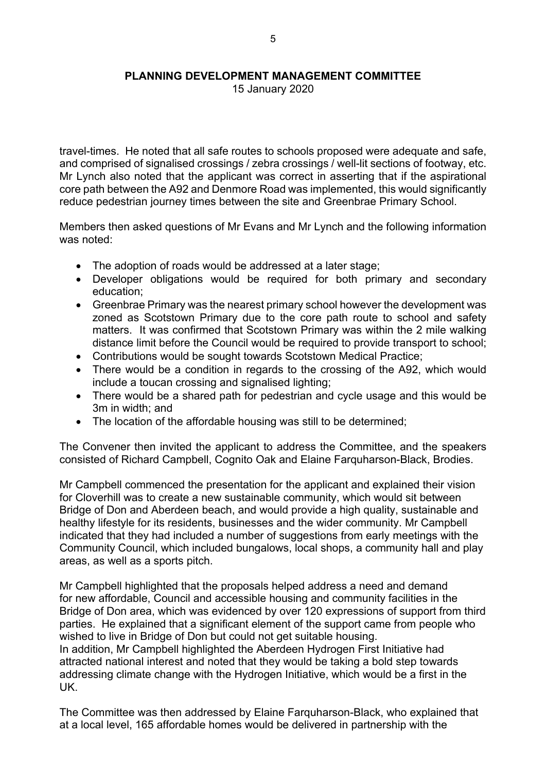15 January 2020

travel-times. He noted that all safe routes to schools proposed were adequate and safe, and comprised of signalised crossings / zebra crossings / well-lit sections of footway, etc. Mr Lynch also noted that the applicant was correct in asserting that if the aspirational core path between the A92 and Denmore Road was implemented, this would significantly reduce pedestrian journey times between the site and Greenbrae Primary School.

Members then asked questions of Mr Evans and Mr Lynch and the following information was noted:

- The adoption of roads would be addressed at a later stage:
- Developer obligations would be required for both primary and secondary education;
- Greenbrae Primary was the nearest primary school however the development was zoned as Scotstown Primary due to the core path route to school and safety matters. It was confirmed that Scotstown Primary was within the 2 mile walking distance limit before the Council would be required to provide transport to school;
- Contributions would be sought towards Scotstown Medical Practice;
- There would be a condition in regards to the crossing of the A92, which would include a toucan crossing and signalised lighting;
- There would be a shared path for pedestrian and cycle usage and this would be 3m in width; and
- The location of the affordable housing was still to be determined;

The Convener then invited the applicant to address the Committee, and the speakers consisted of Richard Campbell, Cognito Oak and Elaine Farquharson-Black, Brodies.

Mr Campbell commenced the presentation for the applicant and explained their vision for Cloverhill was to create a new sustainable community, which would sit between Bridge of Don and Aberdeen beach, and would provide a high quality, sustainable and healthy lifestyle for its residents, businesses and the wider community. Mr Campbell indicated that they had included a number of suggestions from early meetings with the Community Council, which included bungalows, local shops, a community hall and play areas, as well as a sports pitch.

Mr Campbell highlighted that the proposals helped address a need and demand for new affordable, Council and accessible housing and community facilities in the Bridge of Don area, which was evidenced by over 120 expressions of support from third parties. He explained that a significant element of the support came from people who wished to live in Bridge of Don but could not get suitable housing. In addition, Mr Campbell highlighted the Aberdeen Hydrogen First Initiative had attracted national interest and noted that they would be taking a bold step towards addressing climate change with the Hydrogen Initiative, which would be a first in the UK.

The Committee was then addressed by Elaine Farquharson-Black, who explained that at a local level, 165 affordable homes would be delivered in partnership with the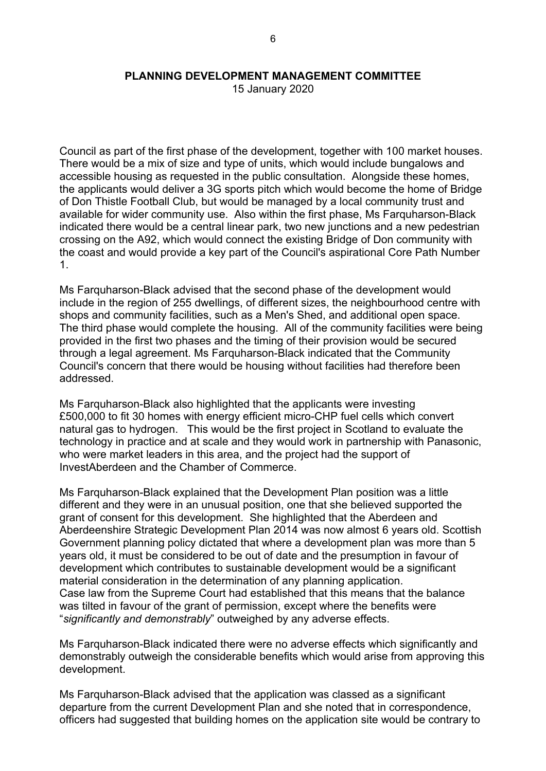15 January 2020

Council as part of the first phase of the development, together with 100 market houses. There would be a mix of size and type of units, which would include bungalows and accessible housing as requested in the public consultation. Alongside these homes, the applicants would deliver a 3G sports pitch which would become the home of Bridge of Don Thistle Football Club, but would be managed by a local community trust and available for wider community use. Also within the first phase, Ms Farquharson-Black indicated there would be a central linear park, two new junctions and a new pedestrian crossing on the A92, which would connect the existing Bridge of Don community with the coast and would provide a key part of the Council's aspirational Core Path Number 1.

Ms Farquharson-Black advised that the second phase of the development would include in the region of 255 dwellings, of different sizes, the neighbourhood centre with shops and community facilities, such as a Men's Shed, and additional open space. The third phase would complete the housing. All of the community facilities were being provided in the first two phases and the timing of their provision would be secured through a legal agreement. Ms Farquharson-Black indicated that the Community Council's concern that there would be housing without facilities had therefore been addressed.

Ms Farquharson-Black also highlighted that the applicants were investing £500,000 to fit 30 homes with energy efficient micro-CHP fuel cells which convert natural gas to hydrogen. This would be the first project in Scotland to evaluate the technology in practice and at scale and they would work in partnership with Panasonic, who were market leaders in this area, and the project had the support of InvestAberdeen and the Chamber of Commerce.

Ms Farquharson-Black explained that the Development Plan position was a little different and they were in an unusual position, one that she believed supported the grant of consent for this development. She highlighted that the Aberdeen and Aberdeenshire Strategic Development Plan 2014 was now almost 6 years old. Scottish Government planning policy dictated that where a development plan was more than 5 years old, it must be considered to be out of date and the presumption in favour of development which contributes to sustainable development would be a significant material consideration in the determination of any planning application. Case law from the Supreme Court had established that this means that the balance was tilted in favour of the grant of permission, except where the benefits were "*significantly and demonstrably*" outweighed by any adverse effects.

Ms Farquharson-Black indicated there were no adverse effects which significantly and demonstrably outweigh the considerable benefits which would arise from approving this development.

Ms Farquharson-Black advised that the application was classed as a significant departure from the current Development Plan and she noted that in correspondence, officers had suggested that building homes on the application site would be contrary to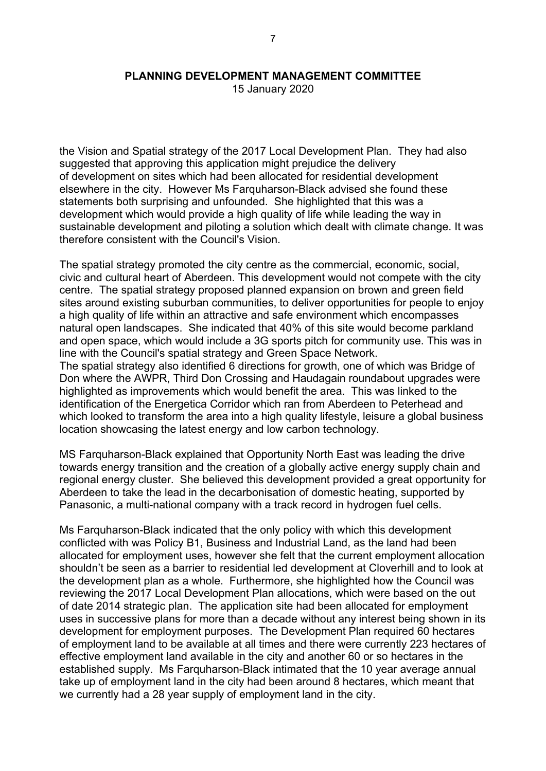15 January 2020

the Vision and Spatial strategy of the 2017 Local Development Plan. They had also suggested that approving this application might prejudice the delivery of development on sites which had been allocated for residential development elsewhere in the city. However Ms Farquharson-Black advised she found these statements both surprising and unfounded. She highlighted that this was a development which would provide a high quality of life while leading the way in sustainable development and piloting a solution which dealt with climate change. It was therefore consistent with the Council's Vision.

The spatial strategy promoted the city centre as the commercial, economic, social, civic and cultural heart of Aberdeen. This development would not compete with the city centre. The spatial strategy proposed planned expansion on brown and green field sites around existing suburban communities, to deliver opportunities for people to enjoy a high quality of life within an attractive and safe environment which encompasses natural open landscapes. She indicated that 40% of this site would become parkland and open space, which would include a 3G sports pitch for community use. This was in line with the Council's spatial strategy and Green Space Network. The spatial strategy also identified 6 directions for growth, one of which was Bridge of Don where the AWPR, Third Don Crossing and Haudagain roundabout upgrades were highlighted as improvements which would benefit the area. This was linked to the identification of the Energetica Corridor which ran from Aberdeen to Peterhead and which looked to transform the area into a high quality lifestyle, leisure a global business location showcasing the latest energy and low carbon technology.

MS Farquharson-Black explained that Opportunity North East was leading the drive towards energy transition and the creation of a globally active energy supply chain and regional energy cluster. She believed this development provided a great opportunity for Aberdeen to take the lead in the decarbonisation of domestic heating, supported by Panasonic, a multi-national company with a track record in hydrogen fuel cells.

Ms Farquharson-Black indicated that the only policy with which this development conflicted with was Policy B1, Business and Industrial Land, as the land had been allocated for employment uses, however she felt that the current employment allocation shouldn't be seen as a barrier to residential led development at Cloverhill and to look at the development plan as a whole. Furthermore, she highlighted how the Council was reviewing the 2017 Local Development Plan allocations, which were based on the out of date 2014 strategic plan. The application site had been allocated for employment uses in successive plans for more than a decade without any interest being shown in its development for employment purposes. The Development Plan required 60 hectares of employment land to be available at all times and there were currently 223 hectares of effective employment land available in the city and another 60 or so hectares in the established supply. Ms Farquharson-Black intimated that the 10 year average annual take up of employment land in the city had been around 8 hectares, which meant that we currently had a 28 year supply of employment land in the city.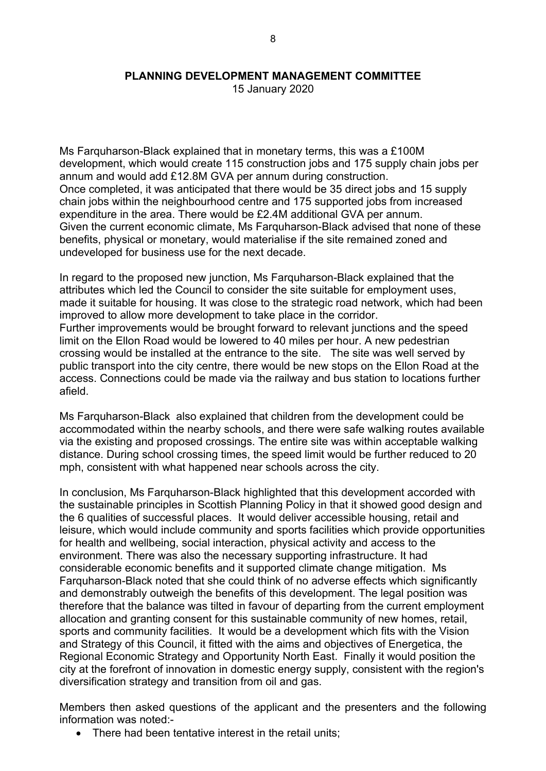15 January 2020

Ms Farquharson-Black explained that in monetary terms, this was a £100M development, which would create 115 construction jobs and 175 supply chain jobs per annum and would add £12.8M GVA per annum during construction. Once completed, it was anticipated that there would be 35 direct jobs and 15 supply chain jobs within the neighbourhood centre and 175 supported jobs from increased expenditure in the area. There would be £2.4M additional GVA per annum. Given the current economic climate, Ms Farquharson-Black advised that none of these benefits, physical or monetary, would materialise if the site remained zoned and undeveloped for business use for the next decade.

In regard to the proposed new junction, Ms Farquharson-Black explained that the attributes which led the Council to consider the site suitable for employment uses, made it suitable for housing. It was close to the strategic road network, which had been improved to allow more development to take place in the corridor. Further improvements would be brought forward to relevant junctions and the speed limit on the Ellon Road would be lowered to 40 miles per hour. A new pedestrian crossing would be installed at the entrance to the site. The site was well served by public transport into the city centre, there would be new stops on the Ellon Road at the access. Connections could be made via the railway and bus station to locations further

afield.

Ms Farquharson-Black also explained that children from the development could be accommodated within the nearby schools, and there were safe walking routes available via the existing and proposed crossings. The entire site was within acceptable walking distance. During school crossing times, the speed limit would be further reduced to 20 mph, consistent with what happened near schools across the city.

In conclusion, Ms Farquharson-Black highlighted that this development accorded with the sustainable principles in Scottish Planning Policy in that it showed good design and the 6 qualities of successful places. It would deliver accessible housing, retail and leisure, which would include community and sports facilities which provide opportunities for health and wellbeing, social interaction, physical activity and access to the environment. There was also the necessary supporting infrastructure. It had considerable economic benefits and it supported climate change mitigation. Ms Farquharson-Black noted that she could think of no adverse effects which significantly and demonstrably outweigh the benefits of this development. The legal position was therefore that the balance was tilted in favour of departing from the current employment allocation and granting consent for this sustainable community of new homes, retail, sports and community facilities. It would be a development which fits with the Vision and Strategy of this Council, it fitted with the aims and objectives of Energetica, the Regional Economic Strategy and Opportunity North East. Finally it would position the city at the forefront of innovation in domestic energy supply, consistent with the region's diversification strategy and transition from oil and gas.

Members then asked questions of the applicant and the presenters and the following information was noted:-

There had been tentative interest in the retail units;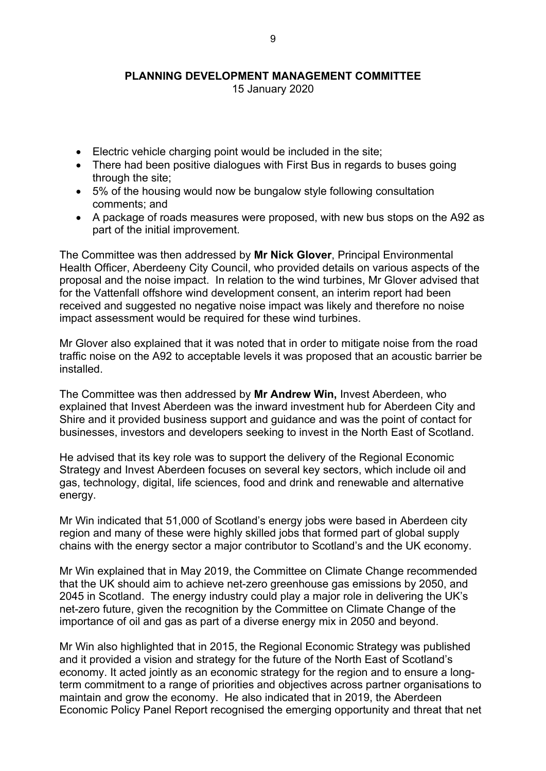15 January 2020

- Electric vehicle charging point would be included in the site;
- There had been positive dialogues with First Bus in regards to buses going through the site;
- 5% of the housing would now be bungalow style following consultation comments; and
- A package of roads measures were proposed, with new bus stops on the A92 as part of the initial improvement.

The Committee was then addressed by **Mr Nick Glover**, Principal Environmental Health Officer, Aberdeeny City Council, who provided details on various aspects of the proposal and the noise impact. In relation to the wind turbines, Mr Glover advised that for the Vattenfall offshore wind development consent, an interim report had been received and suggested no negative noise impact was likely and therefore no noise impact assessment would be required for these wind turbines.

Mr Glover also explained that it was noted that in order to mitigate noise from the road traffic noise on the A92 to acceptable levels it was proposed that an acoustic barrier be installed.

The Committee was then addressed by **Mr Andrew Win,** Invest Aberdeen, who explained that Invest Aberdeen was the inward investment hub for Aberdeen City and Shire and it provided business support and guidance and was the point of contact for businesses, investors and developers seeking to invest in the North East of Scotland.

He advised that its key role was to support the delivery of the Regional Economic Strategy and Invest Aberdeen focuses on several key sectors, which include oil and gas, technology, digital, life sciences, food and drink and renewable and alternative energy.

Mr Win indicated that 51,000 of Scotland's energy jobs were based in Aberdeen city region and many of these were highly skilled jobs that formed part of global supply chains with the energy sector a major contributor to Scotland's and the UK economy.

Mr Win explained that in May 2019, the Committee on Climate Change recommended that the UK should aim to achieve net-zero greenhouse gas emissions by 2050, and 2045 in Scotland. The energy industry could play a major role in delivering the UK's net-zero future, given the recognition by the Committee on Climate Change of the importance of oil and gas as part of a diverse energy mix in 2050 and beyond.

Mr Win also highlighted that in 2015, the Regional Economic Strategy was published and it provided a vision and strategy for the future of the North East of Scotland's economy. It acted jointly as an economic strategy for the region and to ensure a longterm commitment to a range of priorities and objectives across partner organisations to maintain and grow the economy. He also indicated that in 2019, the Aberdeen Economic Policy Panel Report recognised the emerging opportunity and threat that net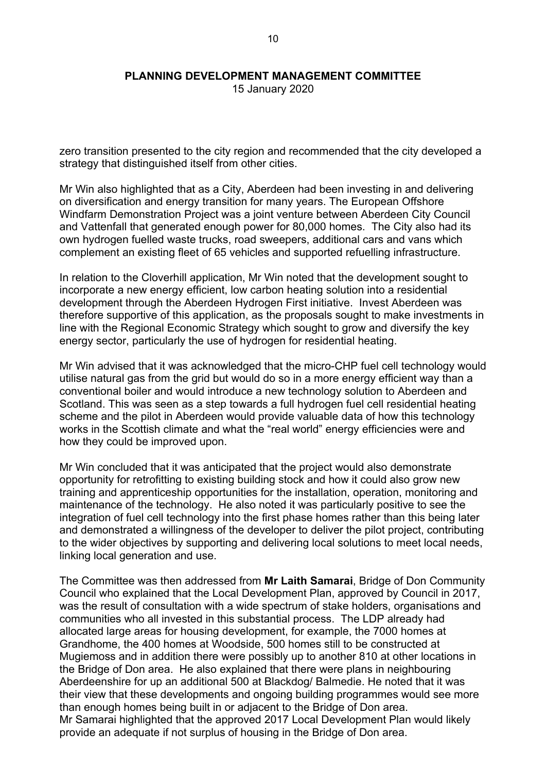15 January 2020

zero transition presented to the city region and recommended that the city developed a strategy that distinguished itself from other cities.

Mr Win also highlighted that as a City, Aberdeen had been investing in and delivering on diversification and energy transition for many years. The European Offshore Windfarm Demonstration Project was a joint venture between Aberdeen City Council and Vattenfall that generated enough power for 80,000 homes. The City also had its own hydrogen fuelled waste trucks, road sweepers, additional cars and vans which complement an existing fleet of 65 vehicles and supported refuelling infrastructure.

In relation to the Cloverhill application, Mr Win noted that the development sought to incorporate a new energy efficient, low carbon heating solution into a residential development through the Aberdeen Hydrogen First initiative. Invest Aberdeen was therefore supportive of this application, as the proposals sought to make investments in line with the Regional Economic Strategy which sought to grow and diversify the key energy sector, particularly the use of hydrogen for residential heating.

Mr Win advised that it was acknowledged that the micro-CHP fuel cell technology would utilise natural gas from the grid but would do so in a more energy efficient way than a conventional boiler and would introduce a new technology solution to Aberdeen and Scotland. This was seen as a step towards a full hydrogen fuel cell residential heating scheme and the pilot in Aberdeen would provide valuable data of how this technology works in the Scottish climate and what the "real world" energy efficiencies were and how they could be improved upon.

Mr Win concluded that it was anticipated that the project would also demonstrate opportunity for retrofitting to existing building stock and how it could also grow new training and apprenticeship opportunities for the installation, operation, monitoring and maintenance of the technology. He also noted it was particularly positive to see the integration of fuel cell technology into the first phase homes rather than this being later and demonstrated a willingness of the developer to deliver the pilot project, contributing to the wider objectives by supporting and delivering local solutions to meet local needs, linking local generation and use.

The Committee was then addressed from **Mr Laith Samarai**, Bridge of Don Community Council who explained that the Local Development Plan, approved by Council in 2017, was the result of consultation with a wide spectrum of stake holders, organisations and communities who all invested in this substantial process. The LDP already had allocated large areas for housing development, for example, the 7000 homes at Grandhome, the 400 homes at Woodside, 500 homes still to be constructed at Mugiemoss and in addition there were possibly up to another 810 at other locations in the Bridge of Don area. He also explained that there were plans in neighbouring Aberdeenshire for up an additional 500 at Blackdog/ Balmedie. He noted that it was their view that these developments and ongoing building programmes would see more than enough homes being built in or adjacent to the Bridge of Don area. Mr Samarai highlighted that the approved 2017 Local Development Plan would likely provide an adequate if not surplus of housing in the Bridge of Don area.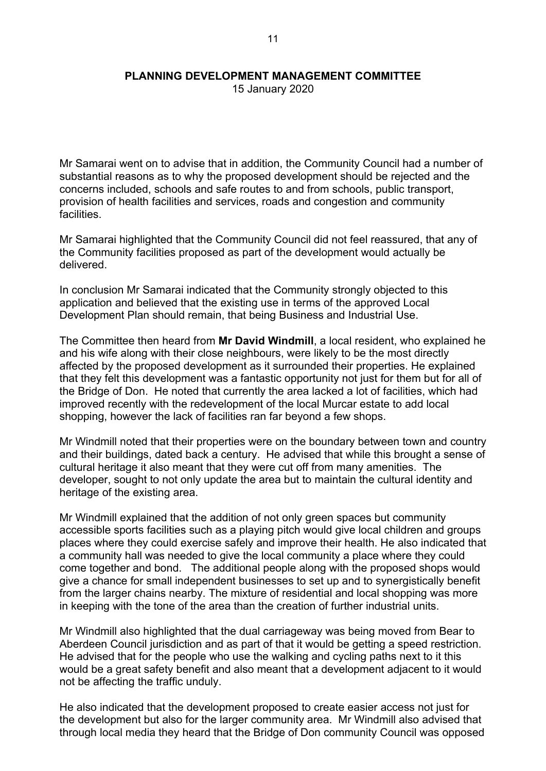15 January 2020

Mr Samarai went on to advise that in addition, the Community Council had a number of substantial reasons as to why the proposed development should be rejected and the concerns included, schools and safe routes to and from schools, public transport, provision of health facilities and services, roads and congestion and community facilities.

Mr Samarai highlighted that the Community Council did not feel reassured, that any of the Community facilities proposed as part of the development would actually be delivered.

In conclusion Mr Samarai indicated that the Community strongly objected to this application and believed that the existing use in terms of the approved Local Development Plan should remain, that being Business and Industrial Use.

The Committee then heard from **Mr David Windmill**, a local resident, who explained he and his wife along with their close neighbours, were likely to be the most directly affected by the proposed development as it surrounded their properties. He explained that they felt this development was a fantastic opportunity not just for them but for all of the Bridge of Don. He noted that currently the area lacked a lot of facilities, which had improved recently with the redevelopment of the local Murcar estate to add local shopping, however the lack of facilities ran far beyond a few shops.

Mr Windmill noted that their properties were on the boundary between town and country and their buildings, dated back a century. He advised that while this brought a sense of cultural heritage it also meant that they were cut off from many amenities. The developer, sought to not only update the area but to maintain the cultural identity and heritage of the existing area.

Mr Windmill explained that the addition of not only green spaces but community accessible sports facilities such as a playing pitch would give local children and groups places where they could exercise safely and improve their health. He also indicated that a community hall was needed to give the local community a place where they could come together and bond. The additional people along with the proposed shops would give a chance for small independent businesses to set up and to synergistically benefit from the larger chains nearby. The mixture of residential and local shopping was more in keeping with the tone of the area than the creation of further industrial units.

Mr Windmill also highlighted that the dual carriageway was being moved from Bear to Aberdeen Council jurisdiction and as part of that it would be getting a speed restriction. He advised that for the people who use the walking and cycling paths next to it this would be a great safety benefit and also meant that a development adjacent to it would not be affecting the traffic unduly.

He also indicated that the development proposed to create easier access not just for the development but also for the larger community area. Mr Windmill also advised that through local media they heard that the Bridge of Don community Council was opposed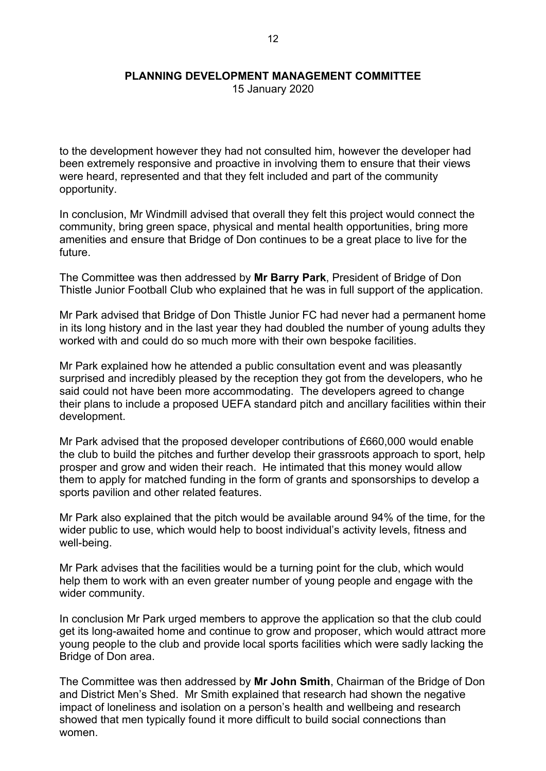15 January 2020

to the development however they had not consulted him, however the developer had been extremely responsive and proactive in involving them to ensure that their views were heard, represented and that they felt included and part of the community opportunity.

In conclusion, Mr Windmill advised that overall they felt this project would connect the community, bring green space, physical and mental health opportunities, bring more amenities and ensure that Bridge of Don continues to be a great place to live for the future.

The Committee was then addressed by **Mr Barry Park**, President of Bridge of Don Thistle Junior Football Club who explained that he was in full support of the application.

Mr Park advised that Bridge of Don Thistle Junior FC had never had a permanent home in its long history and in the last year they had doubled the number of young adults they worked with and could do so much more with their own bespoke facilities.

Mr Park explained how he attended a public consultation event and was pleasantly surprised and incredibly pleased by the reception they got from the developers, who he said could not have been more accommodating. The developers agreed to change their plans to include a proposed UEFA standard pitch and ancillary facilities within their development.

Mr Park advised that the proposed developer contributions of £660,000 would enable the club to build the pitches and further develop their grassroots approach to sport, help prosper and grow and widen their reach. He intimated that this money would allow them to apply for matched funding in the form of grants and sponsorships to develop a sports pavilion and other related features.

Mr Park also explained that the pitch would be available around 94% of the time, for the wider public to use, which would help to boost individual's activity levels, fitness and well-being.

Mr Park advises that the facilities would be a turning point for the club, which would help them to work with an even greater number of young people and engage with the wider community.

In conclusion Mr Park urged members to approve the application so that the club could get its long-awaited home and continue to grow and proposer, which would attract more young people to the club and provide local sports facilities which were sadly lacking the Bridge of Don area.

The Committee was then addressed by **Mr John Smith**, Chairman of the Bridge of Don and District Men's Shed. Mr Smith explained that research had shown the negative impact of loneliness and isolation on a person's health and wellbeing and research showed that men typically found it more difficult to build social connections than women.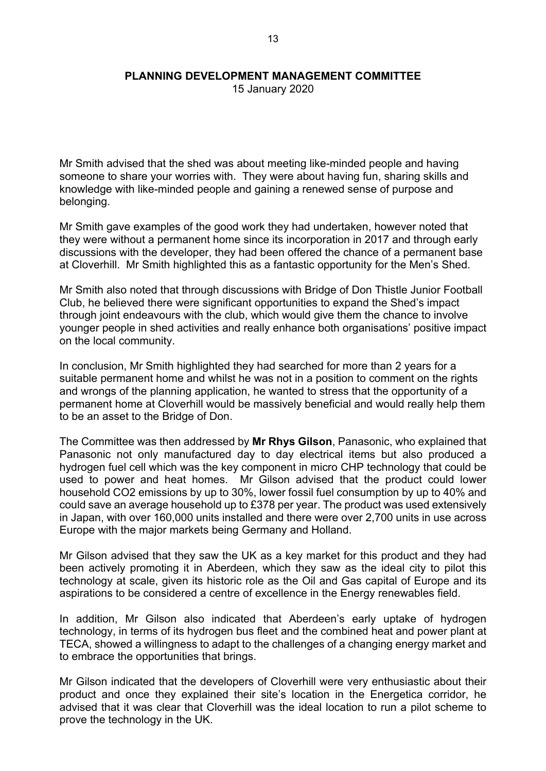15 January 2020

Mr Smith advised that the shed was about meeting like-minded people and having someone to share your worries with. They were about having fun, sharing skills and knowledge with like-minded people and gaining a renewed sense of purpose and belonging.

Mr Smith gave examples of the good work they had undertaken, however noted that they were without a permanent home since its incorporation in 2017 and through early discussions with the developer, they had been offered the chance of a permanent base at Cloverhill. Mr Smith highlighted this as a fantastic opportunity for the Men's Shed.

Mr Smith also noted that through discussions with Bridge of Don Thistle Junior Football Club, he believed there were significant opportunities to expand the Shed's impact through joint endeavours with the club, which would give them the chance to involve younger people in shed activities and really enhance both organisations' positive impact on the local community.

In conclusion, Mr Smith highlighted they had searched for more than 2 years for a suitable permanent home and whilst he was not in a position to comment on the rights and wrongs of the planning application, he wanted to stress that the opportunity of a permanent home at Cloverhill would be massively beneficial and would really help them to be an asset to the Bridge of Don.

The Committee was then addressed by **Mr Rhys Gilson**, Panasonic, who explained that Panasonic not only manufactured day to day electrical items but also produced a hydrogen fuel cell which was the key component in micro CHP technology that could be used to power and heat homes. Mr Gilson advised that the product could lower household CO2 emissions by up to 30%, lower fossil fuel consumption by up to 40% and could save an average household up to £378 per year. The product was used extensively in Japan, with over 160,000 units installed and there were over 2,700 units in use across Europe with the major markets being Germany and Holland.

Mr Gilson advised that they saw the UK as a key market for this product and they had been actively promoting it in Aberdeen, which they saw as the ideal city to pilot this technology at scale, given its historic role as the Oil and Gas capital of Europe and its aspirations to be considered a centre of excellence in the Energy renewables field.

In addition, Mr Gilson also indicated that Aberdeen's early uptake of hydrogen technology, in terms of its hydrogen bus fleet and the combined heat and power plant at TECA, showed a willingness to adapt to the challenges of a changing energy market and to embrace the opportunities that brings.

Mr Gilson indicated that the developers of Cloverhill were very enthusiastic about their product and once they explained their site's location in the Energetica corridor, he advised that it was clear that Cloverhill was the ideal location to run a pilot scheme to prove the technology in the UK.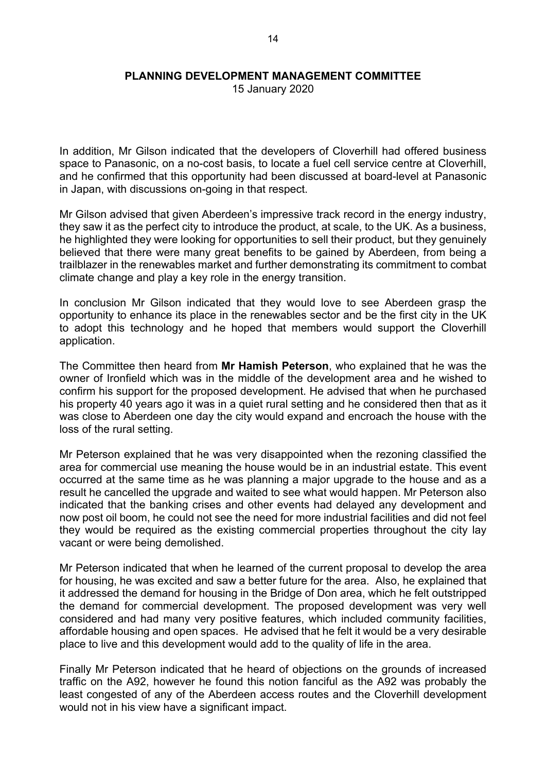15 January 2020

In addition, Mr Gilson indicated that the developers of Cloverhill had offered business space to Panasonic, on a no-cost basis, to locate a fuel cell service centre at Cloverhill, and he confirmed that this opportunity had been discussed at board-level at Panasonic in Japan, with discussions on-going in that respect.

Mr Gilson advised that given Aberdeen's impressive track record in the energy industry, they saw it as the perfect city to introduce the product, at scale, to the UK. As a business, he highlighted they were looking for opportunities to sell their product, but they genuinely believed that there were many great benefits to be gained by Aberdeen, from being a trailblazer in the renewables market and further demonstrating its commitment to combat climate change and play a key role in the energy transition.

In conclusion Mr Gilson indicated that they would love to see Aberdeen grasp the opportunity to enhance its place in the renewables sector and be the first city in the UK to adopt this technology and he hoped that members would support the Cloverhill application.

The Committee then heard from **Mr Hamish Peterson**, who explained that he was the owner of Ironfield which was in the middle of the development area and he wished to confirm his support for the proposed development. He advised that when he purchased his property 40 years ago it was in a quiet rural setting and he considered then that as it was close to Aberdeen one day the city would expand and encroach the house with the loss of the rural setting.

Mr Peterson explained that he was very disappointed when the rezoning classified the area for commercial use meaning the house would be in an industrial estate. This event occurred at the same time as he was planning a major upgrade to the house and as a result he cancelled the upgrade and waited to see what would happen. Mr Peterson also indicated that the banking crises and other events had delayed any development and now post oil boom, he could not see the need for more industrial facilities and did not feel they would be required as the existing commercial properties throughout the city lay vacant or were being demolished.

Mr Peterson indicated that when he learned of the current proposal to develop the area for housing, he was excited and saw a better future for the area. Also, he explained that it addressed the demand for housing in the Bridge of Don area, which he felt outstripped the demand for commercial development. The proposed development was very well considered and had many very positive features, which included community facilities, affordable housing and open spaces. He advised that he felt it would be a very desirable place to live and this development would add to the quality of life in the area.

Finally Mr Peterson indicated that he heard of objections on the grounds of increased traffic on the A92, however he found this notion fanciful as the A92 was probably the least congested of any of the Aberdeen access routes and the Cloverhill development would not in his view have a significant impact.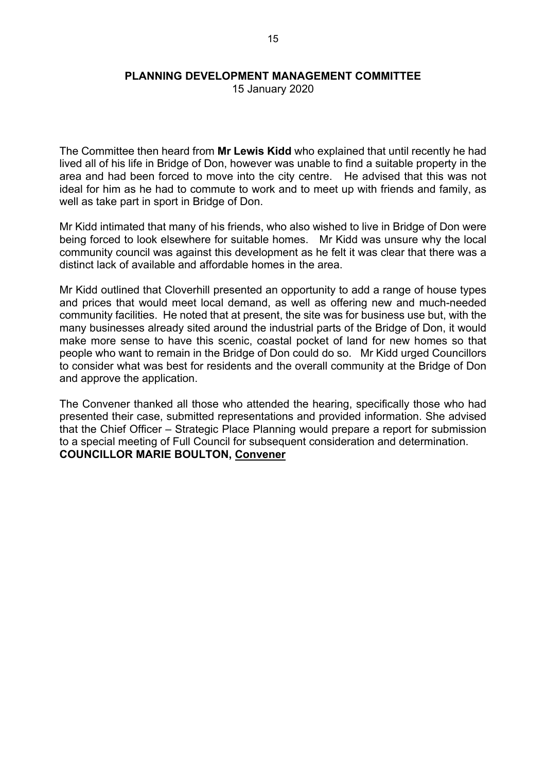15 January 2020

The Committee then heard from **Mr Lewis Kidd** who explained that until recently he had lived all of his life in Bridge of Don, however was unable to find a suitable property in the area and had been forced to move into the city centre. He advised that this was not ideal for him as he had to commute to work and to meet up with friends and family, as well as take part in sport in Bridge of Don.

Mr Kidd intimated that many of his friends, who also wished to live in Bridge of Don were being forced to look elsewhere for suitable homes. Mr Kidd was unsure why the local community council was against this development as he felt it was clear that there was a distinct lack of available and affordable homes in the area.

Mr Kidd outlined that Cloverhill presented an opportunity to add a range of house types and prices that would meet local demand, as well as offering new and much-needed community facilities. He noted that at present, the site was for business use but, with the many businesses already sited around the industrial parts of the Bridge of Don, it would make more sense to have this scenic, coastal pocket of land for new homes so that people who want to remain in the Bridge of Don could do so. Mr Kidd urged Councillors to consider what was best for residents and the overall community at the Bridge of Don and approve the application.

The Convener thanked all those who attended the hearing, specifically those who had presented their case, submitted representations and provided information. She advised that the Chief Officer – Strategic Place Planning would prepare a report for submission to a special meeting of Full Council for subsequent consideration and determination. **COUNCILLOR MARIE BOULTON, Convener**